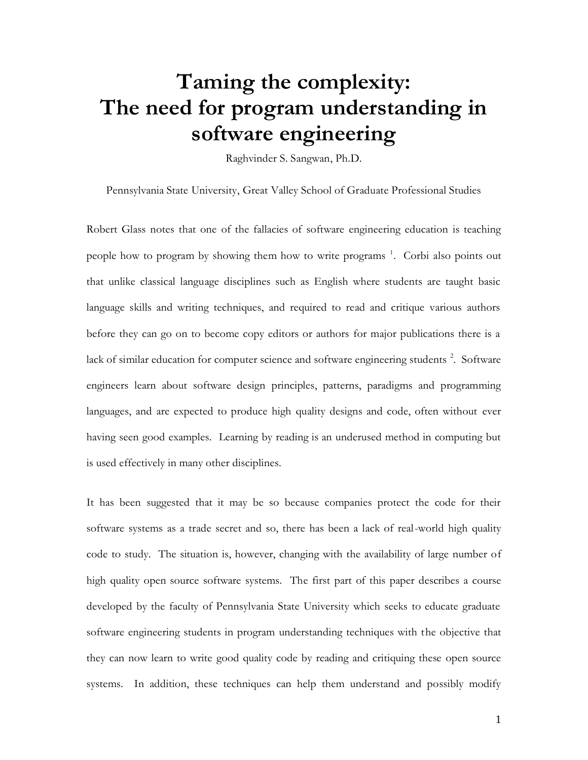# **Taming the complexity: The need for program understanding in software engineering**

Raghvinder S. Sangwan, Ph.D.

Pennsylvania State University, Great Valley School of Graduate Professional Studies

Robert Glass notes that one of the fallacies of software engineering education is teaching people how to program by showing them how to write programs<sup>1</sup>[.](#page-13-0) Corbi also points out that unlike classical language disciplines such as English where students are taught basic language skills and writing techniques, and required to read and critique various authors before they can go on to become copy editors or authors for major publications there is a lack of similar education for computer science and software engineering students<sup>[2](#page-13-1)</sup>. Software engineers learn about software design principles, patterns, paradigms and programming languages, and are expected to produce high quality designs and code, often without ever having seen good examples. Learning by reading is an underused method in computing but is used effectively in many other disciplines.

It has been suggested that it may be so because companies protect the code for their software systems as a trade secret and so, there has been a lack of real-world high quality code to study. The situation is, however, changing with the availability of large number of high quality open source software systems. The first part of this paper describes a course developed by the faculty of Pennsylvania State University which seeks to educate graduate software engineering students in program understanding techniques with the objective that they can now learn to write good quality code by reading and critiquing these open source systems. In addition, these techniques can help them understand and possibly modify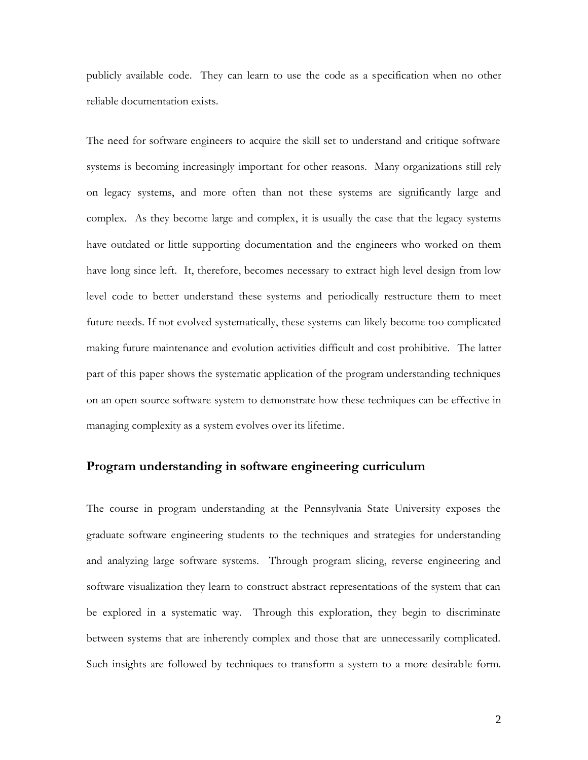publicly available code. They can learn to use the code as a specification when no other reliable documentation exists.

The need for software engineers to acquire the skill set to understand and critique software systems is becoming increasingly important for other reasons. Many organizations still rely on legacy systems, and more often than not these systems are significantly large and complex. As they become large and complex, it is usually the case that the legacy systems have outdated or little supporting documentation and the engineers who worked on them have long since left. It, therefore, becomes necessary to extract high level design from low level code to better understand these systems and periodically restructure them to meet future needs. If not evolved systematically, these systems can likely become too complicated making future maintenance and evolution activities difficult and cost prohibitive. The latter part of this paper shows the systematic application of the program understanding techniques on an open source software system to demonstrate how these techniques can be effective in managing complexity as a system evolves over its lifetime.

#### **Program understanding in software engineering curriculum**

The course in program understanding at the Pennsylvania State University exposes the graduate software engineering students to the techniques and strategies for understanding and analyzing large software systems. Through program slicing, reverse engineering and software visualization they learn to construct abstract representations of the system that can be explored in a systematic way. Through this exploration, they begin to discriminate between systems that are inherently complex and those that are unnecessarily complicated. Such insights are followed by techniques to transform a system to a more desirable form.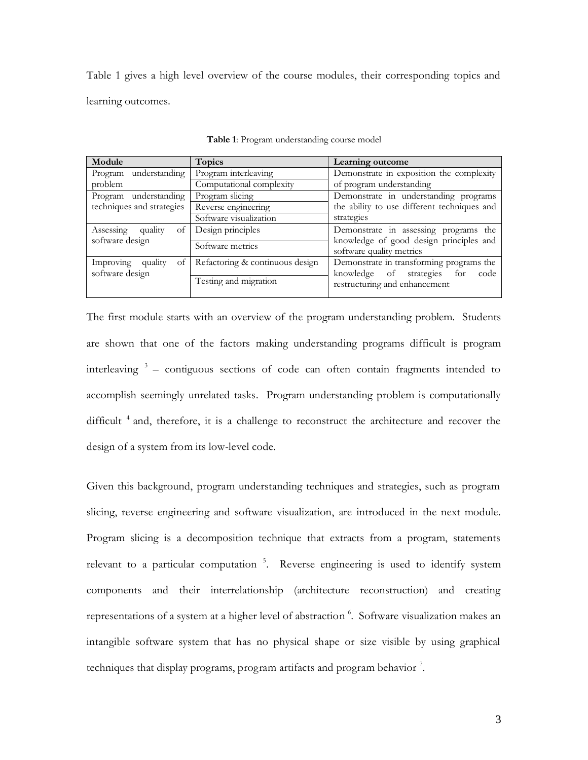Table 1 gives a high level overview of the course modules, their corresponding topics and learning outcomes.

| Module                     | <b>Topics</b>                   | Learning outcome                                                        |
|----------------------------|---------------------------------|-------------------------------------------------------------------------|
| understanding<br>Program   | Program interleaving            | Demonstrate in exposition the complexity                                |
| problem                    | Computational complexity        | of program understanding                                                |
| Program understanding      | Program slicing                 | Demonstrate in understanding programs                                   |
| techniques and strategies  | Reverse engineering             | the ability to use different techniques and                             |
|                            | Software visualization          | strategies                                                              |
| Assessing<br>quality<br>οt | Design principles               | Demonstrate in assessing programs the                                   |
| software design            | Software metrics                | knowledge of good design principles and<br>software quality metrics     |
| Improving quality<br>of    | Refactoring & continuous design | Demonstrate in transforming programs the                                |
| software design            | Testing and migration           | knowledge of strategies<br>for<br>code<br>restructuring and enhancement |

**Table 1**: Program understanding course model

The first module starts with an overview of the program understanding problem. Students are shown that one of the factors making understanding programs difficult is program interleaving [3](#page-13-2) – contiguous sections of code can often contain fragments intended to accomplish seemingly unrelated tasks. Program understanding problem is computationally difficult<sup>[4](#page-13-3)</sup> and, therefore, it is a challenge to reconstruct the architecture and recover the design of a system from its low-level code.

Given this background, program understanding techniques and strategies, such as program slicing, reverse engineering and software visualization, are introduced in the next module. Program slicing is a decomposition technique that extracts from a program, statements relevant to a particular computation<sup>5</sup>[.](#page-13-4) Reverse engineering is used to identify system components and their interrelationship (architecture reconstruction) and creating representations of a system at a higher level of abstraction 6 [.](#page-13-5) Software visualization makes an intangible software system that has no physical shape or size visible by using graphical techniques that display programs, program artifacts and program behavior  $^7$ [.](#page-13-6)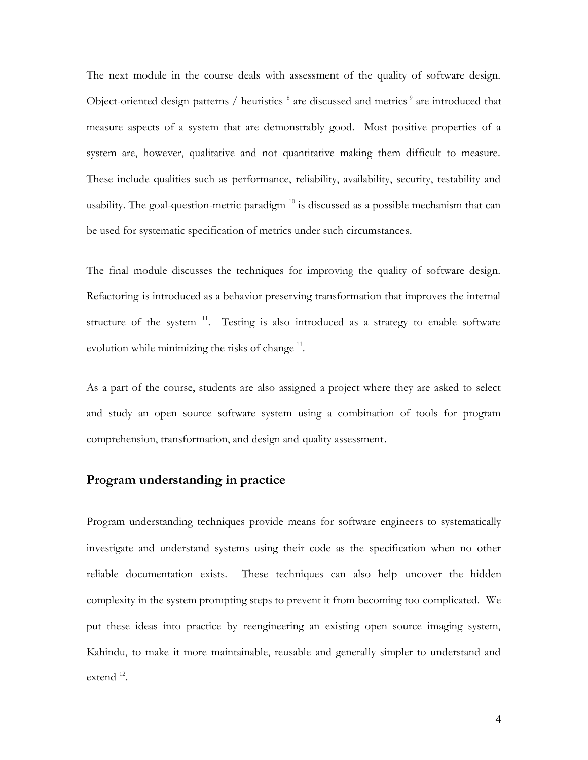The next module in the course deals with assessment of the quality of software design. Object-oriented design patterns / heuristics  $8$  are discussed and metrics  $9$  are introduced that measure aspects of a system that are demonstrably good. Most positive properties of a system are, however, qualitative and not quantitative making them difficult to measure. These include qualities such as performance, reliability, availability, security, testability and usability. The goal-question-metric paradigm  $10$  is discussed as a possible mechanism that can be used for systematic specification of metrics under such circumstances.

The final module discusses the techniques for improving the quality of software design. Refactoring is introduced as a behavior preserving transformation that improves the internal structure of the system  $11$ . Testing is also introduced as a strategy to enable software evolution while minimizing the risks of change  $11$ .

As a part of the course, students are also assigned a project where they are asked to select and study an open source software system using a combination of tools for program comprehension, transformation, and design and quality assessment.

#### **Program understanding in practice**

Program understanding techniques provide means for software engineers to systematically investigate and understand systems using their code as the specification when no other reliable documentation exists. These techniques can also help uncover the hidden complexity in the system prompting steps to prevent it from becoming too complicated. We put these ideas into practice by reengineering an existing open source imaging system, Kahindu, to make it more maintainable, reusable and generally simpler to understand and extend<sup>[12](#page-14-0)</sup>.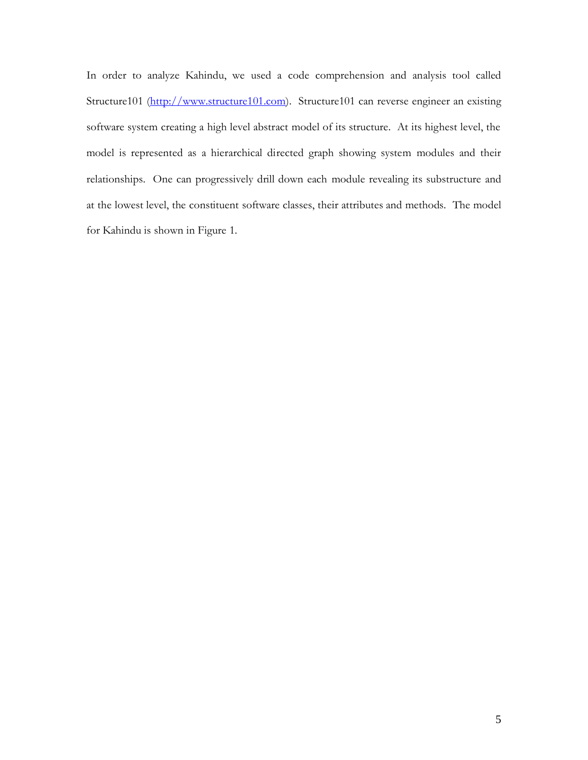In order to analyze Kahindu, we used a code comprehension and analysis tool called Structure101 [\(http://www.structure101.com\)](http://www.structure101.com/). Structure101 can reverse engineer an existing software system creating a high level abstract model of its structure. At its highest level, the model is represented as a hierarchical directed graph showing system modules and their relationships. One can progressively drill down each module revealing its substructure and at the lowest level, the constituent software classes, their attributes and methods. The model for Kahindu is shown in [Figure 1.](#page-5-0)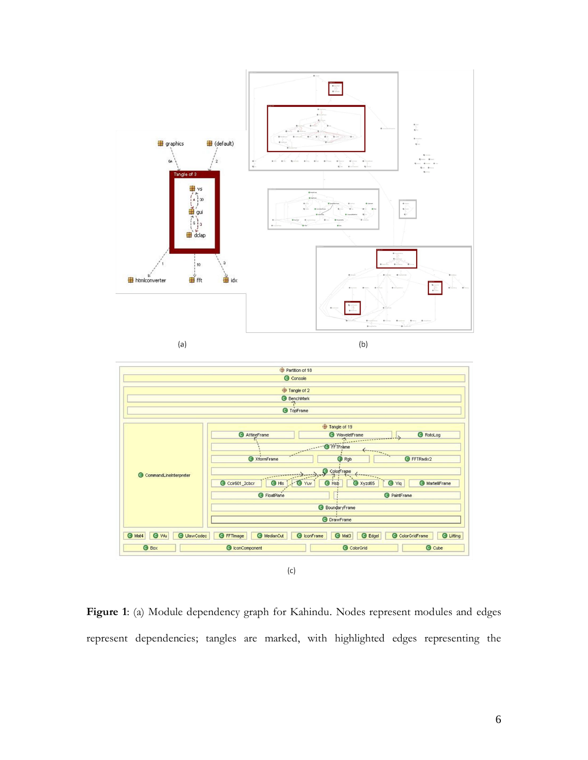

Partition of 18 Console Tangle of 2 **BenchMark** O TopFrame Tangle of 19 O WaveletFranch AffineFrame **O** RotoLog  $\perp$  $\bullet$  XtormFrame  $\overrightarrow{\mathbf{Q}}$  Rgb **O** FFTRadix2 ColorFrame CommandLineInterpreter ⇒. C Ccir601\_2cbcr | C His | G Yuv | O Hsb O Xyzd65 **O** Yiq MartelliFrame G FloatPlane **O** PaintFrame **BoundaryFrame** O DrawFrame O Mat4 O Wu | O UlawCodec | O FFTmage | O MedianCut | O IconFrame | O Mat3 | O Edgel ColorGridFrame Cuifting C IconComponent ColorGrid **O** Cube **O** Box

 $(c)$ 

<span id="page-5-0"></span>**Figure 1**: (a) Module dependency graph for Kahindu. Nodes represent modules and edges represent dependencies; tangles are marked, with highlighted edges representing the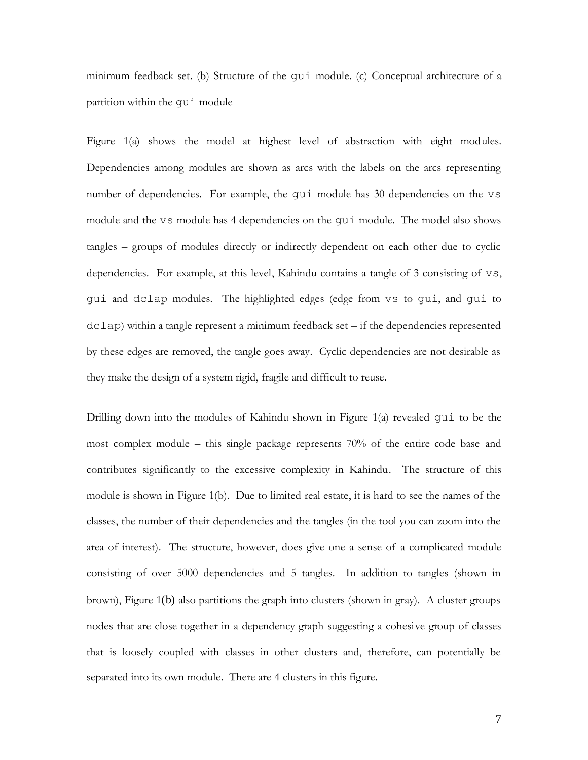minimum feedback set. (b) Structure of the gui module. (c) Conceptual architecture of a partition within the gui module

Figure 1(a) shows the model at highest level of abstraction with eight modules. Dependencies among modules are shown as arcs with the labels on the arcs representing number of dependencies. For example, the gui module has 30 dependencies on the vs module and the vs module has 4 dependencies on the gui module. The model also shows tangles – groups of modules directly or indirectly dependent on each other due to cyclic dependencies. For example, at this level, Kahindu contains a tangle of 3 consisting of vs, gui and dclap modules. The highlighted edges (edge from vs to gui, and gui to dclap) within a tangle represent a minimum feedback set – if the dependencies represented by these edges are removed, the tangle goes away. Cyclic dependencies are not desirable as they make the design of a system rigid, fragile and difficult to reuse.

Drilling down into the modules of Kahindu shown in [Figure 1\(](#page-5-0)a) revealed gui to be the most complex module – this single package represents 70% of the entire code base and contributes significantly to the excessive complexity in Kahindu. The structure of this module is shown in [Figure 1\(](#page-5-0)b). Due to limited real estate, it is hard to see the names of the classes, the number of their dependencies and the tangles (in the tool you can zoom into the area of interest). The structure, however, does give one a sense of a complicated module consisting of over 5000 dependencies and 5 tangles. In addition to tangles (shown in brown), [Figure 1](#page-5-0)(b) also partitions the graph into clusters (shown in gray). A cluster groups nodes that are close together in a dependency graph suggesting a cohesive group of classes that is loosely coupled with classes in other clusters and, therefore, can potentially be separated into its own module. There are 4 clusters in this figure.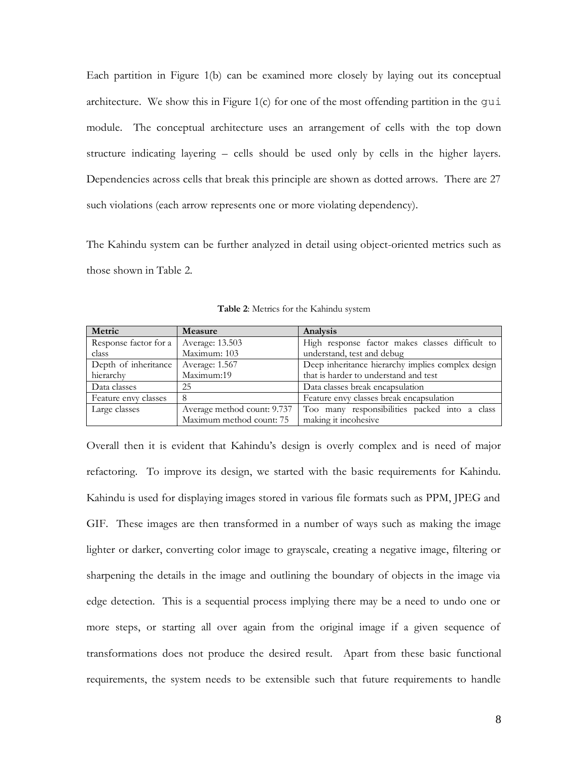Each partition in [Figure 1\(](#page-5-0)b) can be examined more closely by laying out its conceptual architecture. We show this in Figure  $1(c)$  for one of the most offending partition in the qui module. The conceptual architecture uses an arrangement of cells with the top down structure indicating layering – cells should be used only by cells in the higher layers. Dependencies across cells that break this principle are shown as dotted arrows. There are 27 such violations (each arrow represents one or more violating dependency).

The Kahindu system can be further analyzed in detail using object-oriented metrics such as those shown in [Table 2.](#page-7-0)

<span id="page-7-0"></span>

| Metric                | <b>Measure</b>              | Analysis                                          |
|-----------------------|-----------------------------|---------------------------------------------------|
| Response factor for a | Average: 13.503             | High response factor makes classes difficult to   |
| class                 | Maximum: 103                | understand, test and debug                        |
| Depth of inheritance  | Average: 1.567              | Deep inheritance hierarchy implies complex design |
| hierarchy             | Maximum:19                  | that is harder to understand and test             |
| Data classes          | 25                          | Data classes break encapsulation                  |
| Feature envy classes  | 8                           | Feature envy classes break encapsulation          |
| Large classes         | Average method count: 9.737 | Too many responsibilities packed into a class     |
|                       | Maximum method count: 75    | making it incohesive                              |

**Table 2**: Metrics for the Kahindu system

Overall then it is evident that Kahindu's design is overly complex and is need of major refactoring. To improve its design, we started with the basic requirements for Kahindu. Kahindu is used for displaying images stored in various file formats such as PPM, JPEG and GIF. These images are then transformed in a number of ways such as making the image lighter or darker, converting color image to grayscale, creating a negative image, filtering or sharpening the details in the image and outlining the boundary of objects in the image via edge detection. This is a sequential process implying there may be a need to undo one or more steps, or starting all over again from the original image if a given sequence of transformations does not produce the desired result. Apart from these basic functional requirements, the system needs to be extensible such that future requirements to handle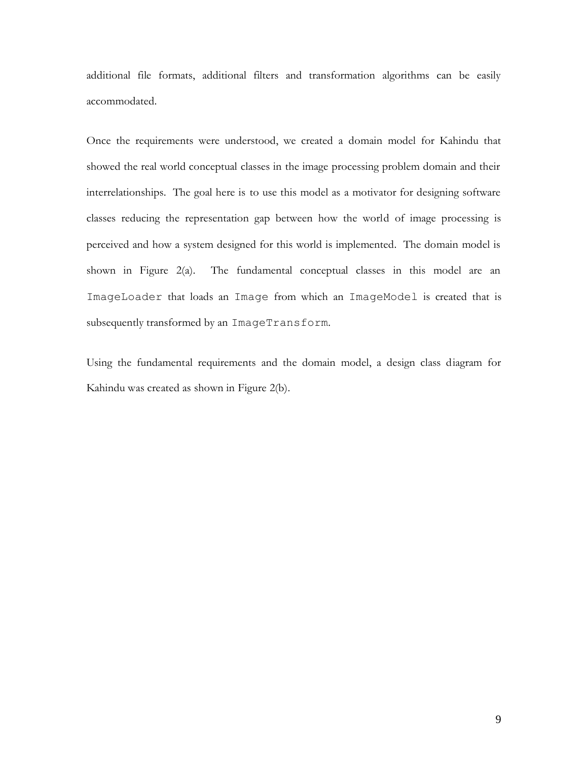additional file formats, additional filters and transformation algorithms can be easily accommodated.

Once the requirements were understood, we created a domain model for Kahindu that showed the real world conceptual classes in the image processing problem domain and their interrelationships. The goal here is to use this model as a motivator for designing software classes reducing the representation gap between how the world of image processing is perceived and how a system designed for this world is implemented. The domain model is shown in [Figure 2\(](#page-9-0)a). The fundamental conceptual classes in this model are an ImageLoader that loads an Image from which an ImageModel is created that is subsequently transformed by an ImageTransform.

Using the fundamental requirements and the domain model, a design class diagram for Kahindu was created as shown in [Figure 2\(](#page-9-0)b).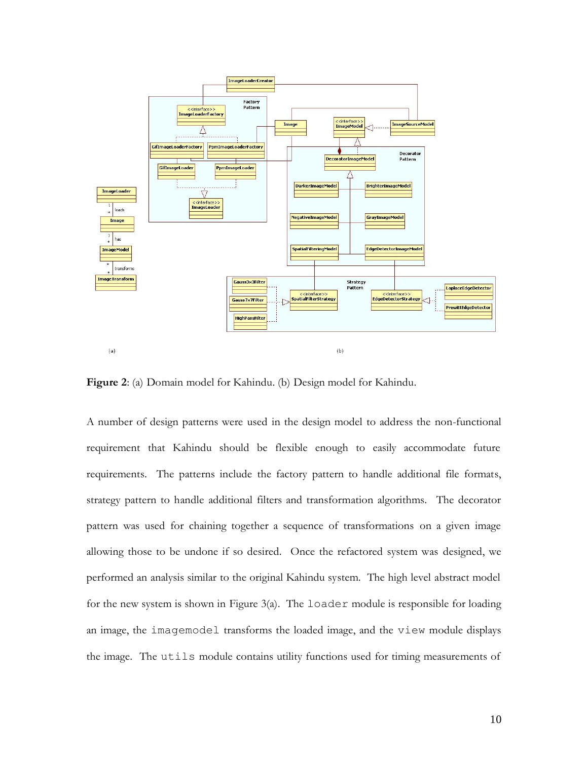

<span id="page-9-0"></span>**Figure 2**: (a) Domain model for Kahindu. (b) Design model for Kahindu.

A number of design patterns were used in the design model to address the non-functional requirement that Kahindu should be flexible enough to easily accommodate future requirements. The patterns include the factory pattern to handle additional file formats, strategy pattern to handle additional filters and transformation algorithms. The decorator pattern was used for chaining together a sequence of transformations on a given image allowing those to be undone if so desired. Once the refactored system was designed, we performed an analysis similar to the original Kahindu system. The high level abstract model for the new system is shown in [Figure 3\(](#page-10-0)a). The loader module is responsible for loading an image, the imagemodel transforms the loaded image, and the view module displays the image. The utils module contains utility functions used for timing measurements of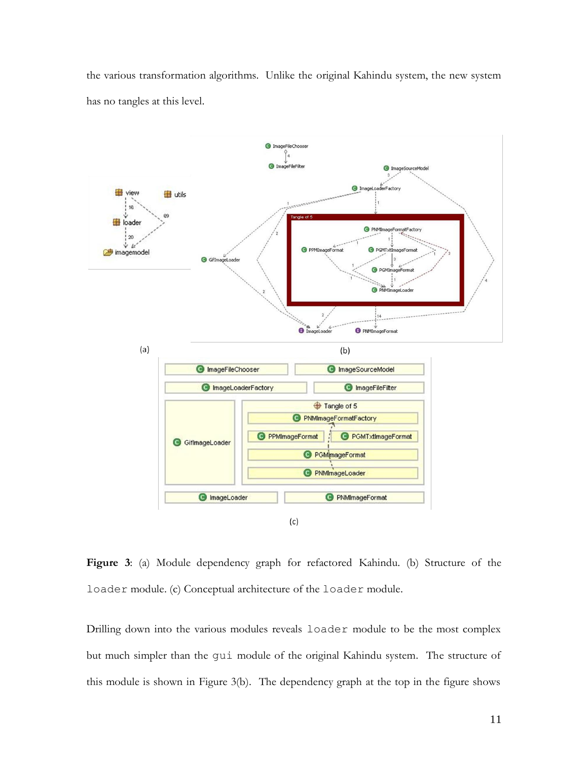the various transformation algorithms. Unlike the original Kahindu system, the new system has no tangles at this level.



<span id="page-10-0"></span>**Figure 3**: (a) Module dependency graph for refactored Kahindu. (b) Structure of the loader module. (c) Conceptual architecture of the loader module.

Drilling down into the various modules reveals loader module to be the most complex but much simpler than the gui module of the original Kahindu system. The structure of this module is shown in [Figure 3\(](#page-10-0)b). The dependency graph at the top in the figure shows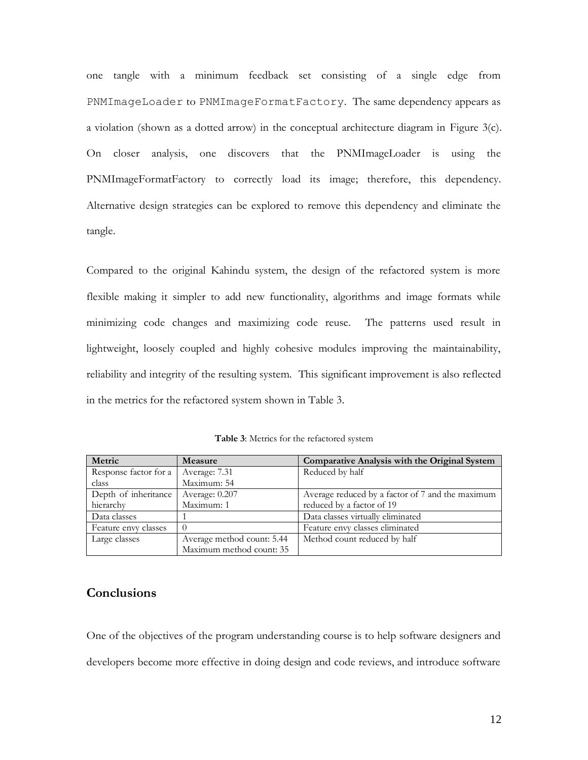one tangle with a minimum feedback set consisting of a single edge from PNMImageLoader to PNMImageFormatFactory. The same dependency appears as a violation (shown as a dotted arrow) in the conceptual architecture diagram in [Figure 3\(](#page-10-0)c). On closer analysis, one discovers that the PNMImageLoader is using the PNMImageFormatFactory to correctly load its image; therefore, this dependency. Alternative design strategies can be explored to remove this dependency and eliminate the tangle.

Compared to the original Kahindu system, the design of the refactored system is more flexible making it simpler to add new functionality, algorithms and image formats while minimizing code changes and maximizing code reuse. The patterns used result in lightweight, loosely coupled and highly cohesive modules improving the maintainability, reliability and integrity of the resulting system. This significant improvement is also reflected in the metrics for the refactored system shown in [Table 3.](#page-11-0)

<span id="page-11-0"></span>

| Metric                | Measure                    | Comparative Analysis with the Original System    |
|-----------------------|----------------------------|--------------------------------------------------|
| Response factor for a | Average: 7.31              | Reduced by half                                  |
| class                 | Maximum: 54                |                                                  |
| Depth of inheritance  | Average: 0.207             | Average reduced by a factor of 7 and the maximum |
| hierarchy             | Maximum: 1                 | reduced by a factor of 19                        |
| Data classes          |                            | Data classes virtually eliminated                |
| Feature envy classes  | $\Omega$                   | Feature envy classes eliminated                  |
| Large classes         | Average method count: 5.44 | Method count reduced by half                     |
|                       | Maximum method count: 35   |                                                  |

**Table 3**: Metrics for the refactored system

## **Conclusions**

One of the objectives of the program understanding course is to help software designers and developers become more effective in doing design and code reviews, and introduce software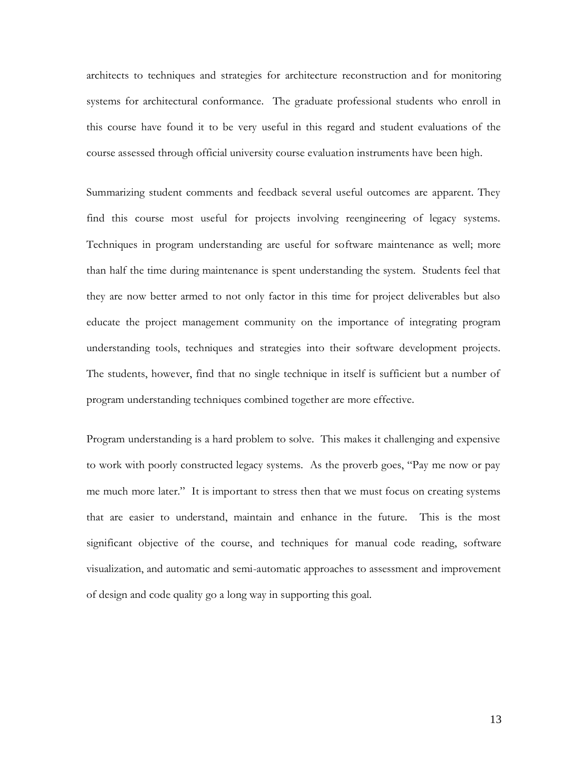architects to techniques and strategies for architecture reconstruction and for monitoring systems for architectural conformance. The graduate professional students who enroll in this course have found it to be very useful in this regard and student evaluations of the course assessed through official university course evaluation instruments have been high.

Summarizing student comments and feedback several useful outcomes are apparent. They find this course most useful for projects involving reengineering of legacy systems. Techniques in program understanding are useful for software maintenance as well; more than half the time during maintenance is spent understanding the system. Students feel that they are now better armed to not only factor in this time for project deliverables but also educate the project management community on the importance of integrating program understanding tools, techniques and strategies into their software development projects. The students, however, find that no single technique in itself is sufficient but a number of program understanding techniques combined together are more effective.

Program understanding is a hard problem to solve. This makes it challenging and expensive to work with poorly constructed legacy systems. As the proverb goes, "Pay me now or pay me much more later." It is important to stress then that we must focus on creating systems that are easier to understand, maintain and enhance in the future. This is the most significant objective of the course, and techniques for manual code reading, software visualization, and automatic and semi-automatic approaches to assessment and improvement of design and code quality go a long way in supporting this goal.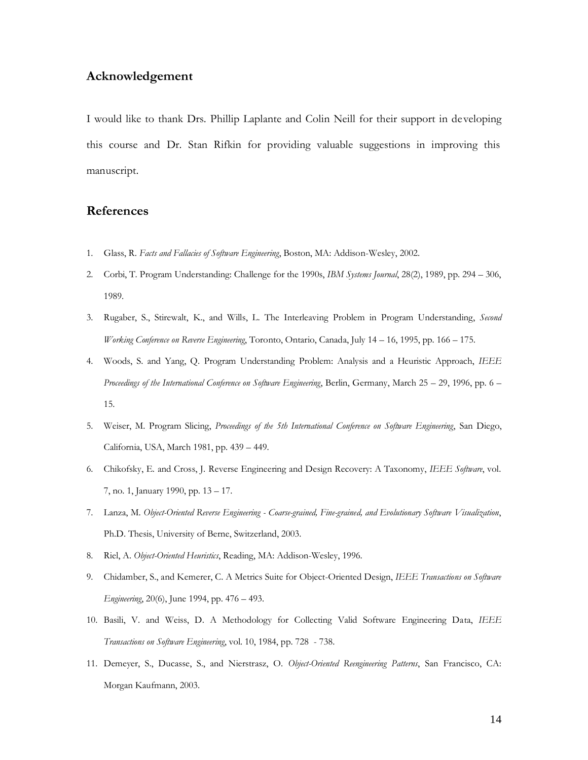## **Acknowledgement**

I would like to thank Drs. Phillip Laplante and Colin Neill for their support in developing this course and Dr. Stan Rifkin for providing valuable suggestions in improving this manuscript.

#### **References**

- <span id="page-13-0"></span>1. Glass, R. *Facts and Fallacies of Software Engineering*, Boston, MA: Addison-Wesley, 2002.
- <span id="page-13-1"></span>2. Corbi, T. Program Understanding: Challenge for the 1990s, *IBM Systems Journal*, 28(2), 1989, pp. 294 – 306, 1989.
- <span id="page-13-2"></span>3. Rugaber, S., Stirewalt, K., and Wills, L. The Interleaving Problem in Program Understanding, *Second Working Conference on Reverse Engineering*, Toronto, Ontario, Canada, July 14 – 16, 1995, pp. 166 – 175.
- <span id="page-13-3"></span>4. Woods, S. and Yang, Q. Program Understanding Problem: Analysis and a Heuristic Approach, *IEEE Proceedings of the International Conference on Software Engineering*, Berlin, Germany, March 25 – 29, 1996, pp. 6 – 15.
- <span id="page-13-4"></span>5. Weiser, M. Program Slicing, *Proceedings of the 5th International Conference on Software Engineering*, San Diego, California, USA, March 1981, pp. 439 – 449.
- <span id="page-13-5"></span>6. Chikofsky, E. and Cross, J. Reverse Engineering and Design Recovery: A Taxonomy, *IEEE Software*, vol. 7, no. 1, January 1990, pp. 13 – 17.
- <span id="page-13-6"></span>7. Lanza, M. *Object-Oriented Reverse Engineering - Coarse-grained, Fine-grained, and Evolutionary Software Visualization*, Ph.D. Thesis, University of Berne, Switzerland, 2003.
- <span id="page-13-7"></span>8. Riel, A. *Object-Oriented Heuristics*, Reading, MA: Addison-Wesley, 1996.
- <span id="page-13-8"></span>9. Chidamber, S., and Kemerer, C. A Metrics Suite for Object-Oriented Design, *IEEE Transactions on Software Engineering*, 20(6), June 1994, pp. 476 – 493.
- <span id="page-13-9"></span>10. Basili, V. and Weiss, D. A Methodology for Collecting Valid Software Engineering Data, *IEEE Transactions on Software Engineering*, vol. 10, 1984, pp. 728 - 738.
- <span id="page-13-10"></span>11. Demeyer, S., Ducasse, S., and Nierstrasz, O. *Object-Oriented Reengineering Patterns*, San Francisco, CA: Morgan Kaufmann, 2003.